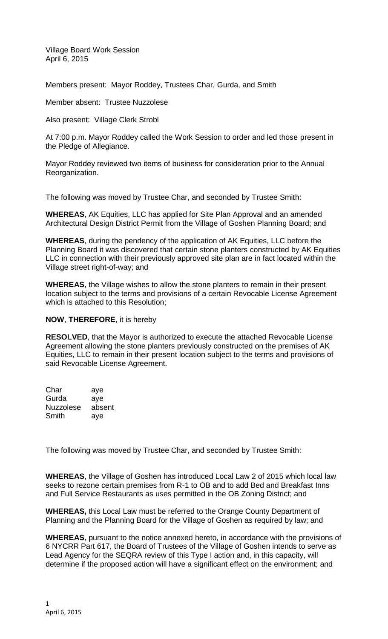Village Board Work Session April 6, 2015

Members present: Mayor Roddey, Trustees Char, Gurda, and Smith

Member absent: Trustee Nuzzolese

Also present: Village Clerk Strobl

At 7:00 p.m. Mayor Roddey called the Work Session to order and led those present in the Pledge of Allegiance.

Mayor Roddey reviewed two items of business for consideration prior to the Annual Reorganization.

The following was moved by Trustee Char, and seconded by Trustee Smith:

**WHEREAS**, AK Equities, LLC has applied for Site Plan Approval and an amended Architectural Design District Permit from the Village of Goshen Planning Board; and

**WHEREAS**, during the pendency of the application of AK Equities, LLC before the Planning Board it was discovered that certain stone planters constructed by AK Equities LLC in connection with their previously approved site plan are in fact located within the Village street right-of-way; and

**WHEREAS**, the Village wishes to allow the stone planters to remain in their present location subject to the terms and provisions of a certain Revocable License Agreement which is attached to this Resolution;

### **NOW**, **THEREFORE**, it is hereby

**RESOLVED**, that the Mayor is authorized to execute the attached Revocable License Agreement allowing the stone planters previously constructed on the premises of AK Equities, LLC to remain in their present location subject to the terms and provisions of said Revocable License Agreement.

Char aye Gurda aye Nuzzolese absent Smith aye

The following was moved by Trustee Char, and seconded by Trustee Smith:

**WHEREAS**, the Village of Goshen has introduced Local Law 2 of 2015 which local law seeks to rezone certain premises from R-1 to OB and to add Bed and Breakfast Inns and Full Service Restaurants as uses permitted in the OB Zoning District; and

**WHEREAS,** this Local Law must be referred to the Orange County Department of Planning and the Planning Board for the Village of Goshen as required by law; and

**WHEREAS**, pursuant to the notice annexed hereto, in accordance with the provisions of 6 NYCRR Part 617, the Board of Trustees of the Village of Goshen intends to serve as Lead Agency for the SEQRA review of this Type I action and, in this capacity, will determine if the proposed action will have a significant effect on the environment; and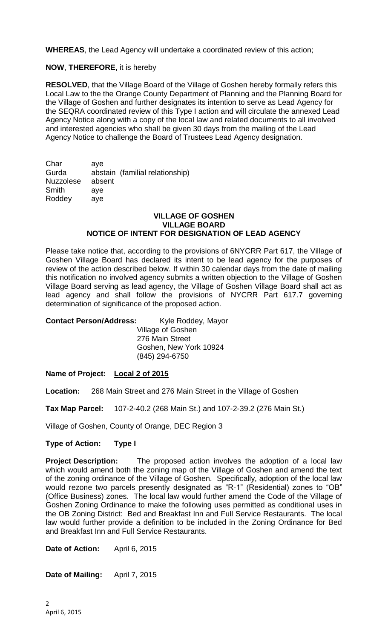**WHEREAS**, the Lead Agency will undertake a coordinated review of this action;

## **NOW**, **THEREFORE**, it is hereby

**RESOLVED**, that the Village Board of the Village of Goshen hereby formally refers this Local Law to the the Orange County Department of Planning and the Planning Board for the Village of Goshen and further designates its intention to serve as Lead Agency for the SEQRA coordinated review of this Type I action and will circulate the annexed Lead Agency Notice along with a copy of the local law and related documents to all involved and interested agencies who shall be given 30 days from the mailing of the Lead Agency Notice to challenge the Board of Trustees Lead Agency designation.

Char aye Gurda abstain (familial relationship) Nuzzolese absent Smith aye Roddey aye

### **VILLAGE OF GOSHEN VILLAGE BOARD NOTICE OF INTENT FOR DESIGNATION OF LEAD AGENCY**

Please take notice that, according to the provisions of 6NYCRR Part 617, the Village of Goshen Village Board has declared its intent to be lead agency for the purposes of review of the action described below. If within 30 calendar days from the date of mailing this notification no involved agency submits a written objection to the Village of Goshen Village Board serving as lead agency, the Village of Goshen Village Board shall act as lead agency and shall follow the provisions of NYCRR Part 617.7 governing determination of significance of the proposed action.

| <b>Contact Person/Address:</b> | Kyle Roddey, Mayor     |
|--------------------------------|------------------------|
|                                | Village of Goshen      |
|                                | 276 Main Street        |
|                                | Goshen, New York 10924 |
|                                | (845) 294-6750         |
|                                |                        |

### **Name of Project: Local 2 of 2015**

**Location:** 268 Main Street and 276 Main Street in the Village of Goshen

**Tax Map Parcel:** 107-2-40.2 (268 Main St.) and 107-2-39.2 (276 Main St.)

Village of Goshen, County of Orange, DEC Region 3

### **Type of Action: Type I**

**Project Description:** The proposed action involves the adoption of a local law which would amend both the zoning map of the Village of Goshen and amend the text of the zoning ordinance of the Village of Goshen. Specifically, adoption of the local law would rezone two parcels presently designated as "R-1" (Residential) zones to "OB" (Office Business) zones. The local law would further amend the Code of the Village of Goshen Zoning Ordinance to make the following uses permitted as conditional uses in the OB Zoning District: Bed and Breakfast Inn and Full Service Restaurants. The local law would further provide a definition to be included in the Zoning Ordinance for Bed and Breakfast Inn and Full Service Restaurants.

**Date of Action:** April 6, 2015

**Date of Mailing:** April 7, 2015